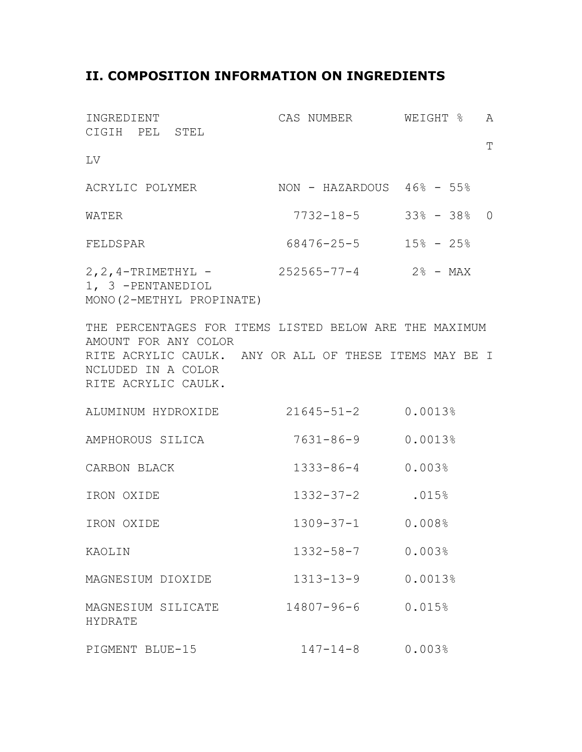## **II. COMPOSITION INFORMATION ON INGREDIENTS**

| INGREDIENT<br>CIGIH PEL STEL                                                                                                                                                          | CAS NUMBER WEIGHT % A       |         |           |
|---------------------------------------------------------------------------------------------------------------------------------------------------------------------------------------|-----------------------------|---------|-----------|
|                                                                                                                                                                                       |                             |         | $\bar{T}$ |
| LV                                                                                                                                                                                    |                             |         |           |
| ACRYLIC POLYMER NON - HAZARDOUS 46% - 55%                                                                                                                                             |                             |         |           |
| WATER                                                                                                                                                                                 | $7732 - 18 - 5$ 33% - 38% 0 |         |           |
| FELDSPAR                                                                                                                                                                              | $68476 - 25 - 5$ 15% - 25%  |         |           |
| 2, 2, 4-TRIMETHYL - 252565-77-4 2% - MAX<br>1, 3 -PENTANEDIOL<br>MONO (2-METHYL PROPINATE)                                                                                            |                             |         |           |
| THE PERCENTAGES FOR ITEMS LISTED BELOW ARE THE MAXIMUM<br>AMOUNT FOR ANY COLOR<br>RITE ACRYLIC CAULK. ANY OR ALL OF THESE ITEMS MAY BE I<br>NCLUDED IN A COLOR<br>RITE ACRYLIC CAULK. |                             |         |           |
| ALUMINUM HYDROXIDE 21645-51-2 0.0013%                                                                                                                                                 |                             |         |           |
| AMPHOROUS SILICA                                                                                                                                                                      | 7631-86-9                   | 0.0013% |           |
| CARBON BLACK                                                                                                                                                                          | 1333-86-4 0.003%            |         |           |
| IRON OXIDE                                                                                                                                                                            | 1332-37-2 .015%             |         |           |
| IRON OXIDE                                                                                                                                                                            | $1309 - 37 - 1$ 0.008%      |         |           |
| KAOLIN                                                                                                                                                                                | $1332 - 58 - 7$             | 0.003%  |           |
| MAGNESIUM DIOXIDE                                                                                                                                                                     | $1313 - 13 - 9$             | 0.0013% |           |
| MAGNESIUM SILICATE<br><b>HYDRATE</b>                                                                                                                                                  | $14807 - 96 - 6$            | 0.015%  |           |
| PIGMENT BLUE-15                                                                                                                                                                       | $147 - 14 - 8$              | 0.003%  |           |